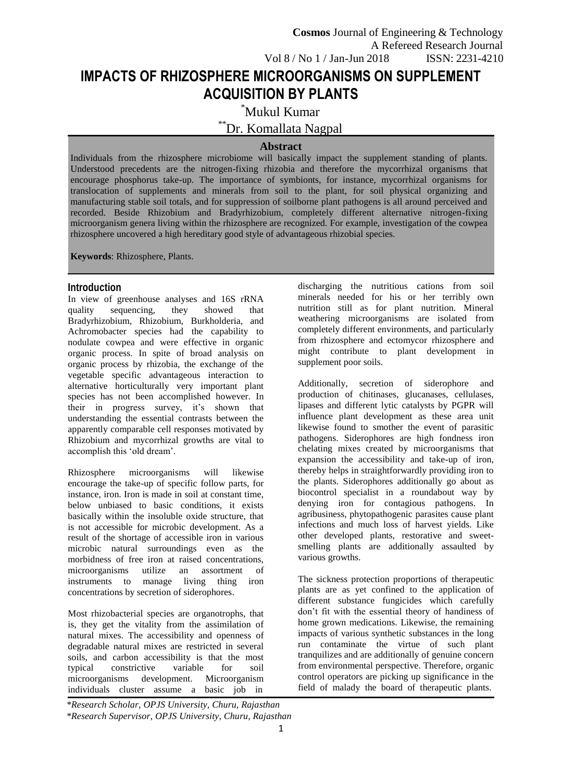# **IMPACTS OF RHIZOSPHERE MICROORGANISMS ON SUPPLEMENT ACQUISITION BY PLANTS**

\*Mukul Kumar

\*\*Dr. Komallata Nagpal

## **Abstract**

Individuals from the rhizosphere microbiome will basically impact the supplement standing of plants. Understood precedents are the nitrogen-fixing rhizobia and therefore the mycorrhizal organisms that encourage phosphorus take-up. The importance of symbionts, for instance, mycorrhizal organisms for translocation of supplements and minerals from soil to the plant, for soil physical organizing and manufacturing stable soil totals, and for suppression of soilborne plant pathogens is all around perceived and recorded. Beside Rhizobium and Bradyrhizobium, completely different alternative nitrogen-fixing microorganism genera living within the rhizosphere are recognized. For example, investigation of the cowpea rhizosphere uncovered a high hereditary good style of advantageous rhizobial species.

**Keywords**: Rhizosphere, Plants.

## **Introduction**

In view of greenhouse analyses and 16S rRNA quality sequencing, they showed that Bradyrhizobium, Rhizobium, Burkholderia, and Achromobacter species had the capability to nodulate cowpea and were effective in organic organic process. In spite of broad analysis on organic process by rhizobia, the exchange of the vegetable specific advantageous interaction to alternative horticulturally very important plant species has not been accomplished however. In their in progress survey, it's shown that understanding the essential contrasts between the apparently comparable cell responses motivated by Rhizobium and mycorrhizal growths are vital to accomplish this 'old dream'.

Rhizosphere microorganisms will likewise encourage the take-up of specific follow parts, for instance, iron. Iron is made in soil at constant time, below unbiased to basic conditions, it exists basically within the insoluble oxide structure, that is not accessible for microbic development. As a result of the shortage of accessible iron in various microbic natural surroundings even as the morbidness of free iron at raised concentrations, microorganisms utilize an assortment of instruments to manage living thing iron concentrations by secretion of siderophores.

Most rhizobacterial species are organotrophs, that is, they get the vitality from the assimilation of natural mixes. The accessibility and openness of degradable natural mixes are restricted in several soils, and carbon accessibility is that the most typical constrictive variable for soil microorganisms development. Microorganism individuals cluster assume a basic job in

discharging the nutritious cations from soil minerals needed for his or her terribly own nutrition still as for plant nutrition. Mineral weathering microorganisms are isolated from completely different environments, and particularly from rhizosphere and ectomycor rhizosphere and might contribute to plant development in supplement poor soils.

Additionally, secretion of siderophore and production of chitinases, glucanases, cellulases, lipases and different lytic catalysts by PGPR will influence plant development as these area unit likewise found to smother the event of parasitic pathogens. Siderophores are high fondness iron chelating mixes created by microorganisms that expansion the accessibility and take-up of iron, thereby helps in straightforwardly providing iron to the plants. Siderophores additionally go about as biocontrol specialist in a roundabout way by denying iron for contagious pathogens. In agribusiness, phytopathogenic parasites cause plant infections and much loss of harvest yields. Like other developed plants, restorative and sweetsmelling plants are additionally assaulted by various growths.

The sickness protection proportions of therapeutic plants are as yet confined to the application of different substance fungicides which carefully don't fit with the essential theory of handiness of home grown medications. Likewise, the remaining impacts of various synthetic substances in the long run contaminate the virtue of such plant tranquilizes and are additionally of genuine concern from environmental perspective. Therefore, organic control operators are picking up significance in the field of malady the board of therapeutic plants.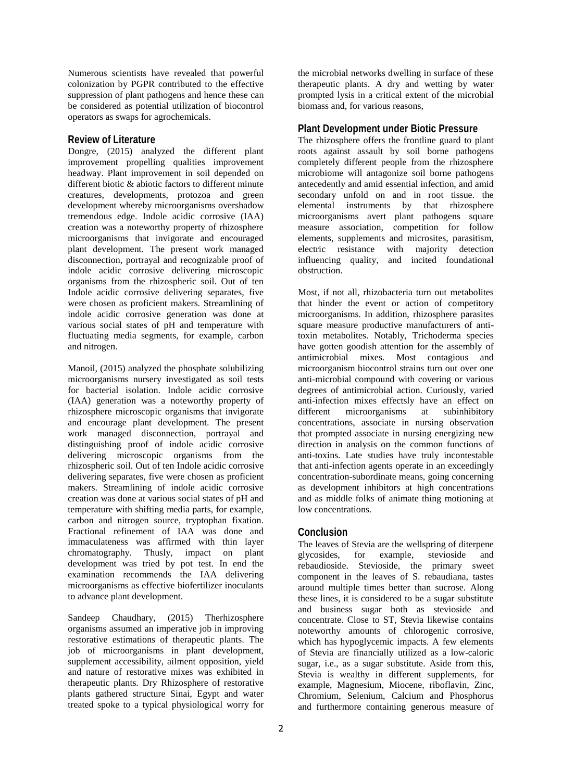Numerous scientists have revealed that powerful colonization by PGPR contributed to the effective suppression of plant pathogens and hence these can be considered as potential utilization of biocontrol operators as swaps for agrochemicals.

#### **Review of Literature**

Dongre, (2015) analyzed the different plant improvement propelling qualities improvement headway. Plant improvement in soil depended on different biotic & abiotic factors to different minute creatures, developments, protozoa and green development whereby microorganisms overshadow tremendous edge. Indole acidic corrosive (IAA) creation was a noteworthy property of rhizosphere microorganisms that invigorate and encouraged plant development. The present work managed disconnection, portrayal and recognizable proof of indole acidic corrosive delivering microscopic organisms from the rhizospheric soil. Out of ten Indole acidic corrosive delivering separates, five were chosen as proficient makers. Streamlining of indole acidic corrosive generation was done at various social states of pH and temperature with fluctuating media segments, for example, carbon and nitrogen.

Manoil, (2015) analyzed the phosphate solubilizing microorganisms nursery investigated as soil tests for bacterial isolation. Indole acidic corrosive (IAA) generation was a noteworthy property of rhizosphere microscopic organisms that invigorate and encourage plant development. The present work managed disconnection, portrayal and distinguishing proof of indole acidic corrosive delivering microscopic organisms from the rhizospheric soil. Out of ten Indole acidic corrosive delivering separates, five were chosen as proficient makers. Streamlining of indole acidic corrosive creation was done at various social states of pH and temperature with shifting media parts, for example, carbon and nitrogen source, tryptophan fixation. Fractional refinement of IAA was done and immaculateness was affirmed with thin layer chromatography. Thusly, impact on plant development was tried by pot test. In end the examination recommends the IAA delivering microorganisms as effective biofertilizer inoculants to advance plant development.

Sandeep Chaudhary, (2015) Therhizosphere organisms assumed an imperative job in improving restorative estimations of therapeutic plants. The job of microorganisms in plant development, supplement accessibility, ailment opposition, yield and nature of restorative mixes was exhibited in therapeutic plants. Dry Rhizosphere of restorative plants gathered structure Sinai, Egypt and water treated spoke to a typical physiological worry for

the microbial networks dwelling in surface of these therapeutic plants. A dry and wetting by water prompted lysis in a critical extent of the microbial biomass and, for various reasons,

#### **Plant Development under Biotic Pressure**

The rhizosphere offers the frontline guard to plant roots against assault by soil borne pathogens completely different people from the rhizosphere microbiome will antagonize soil borne pathogens antecedently and amid essential infection, and amid secondary unfold on and in root tissue. the elemental instruments by that rhizosphere microorganisms avert plant pathogens square measure association, competition for follow elements, supplements and microsites, parasitism, electric resistance with majority detection influencing quality, and incited foundational obstruction.

Most, if not all, rhizobacteria turn out metabolites that hinder the event or action of competitory microorganisms. In addition, rhizosphere parasites square measure productive manufacturers of antitoxin metabolites. Notably, Trichoderma species have gotten goodish attention for the assembly of antimicrobial mixes. Most contagious and microorganism biocontrol strains turn out over one anti-microbial compound with covering or various degrees of antimicrobial action. Curiously, varied anti-infection mixes effectsly have an effect on different microorganisms at subinhibitory concentrations, associate in nursing observation that prompted associate in nursing energizing new direction in analysis on the common functions of anti-toxins. Late studies have truly incontestable that anti-infection agents operate in an exceedingly concentration-subordinate means, going concerning as development inhibitors at high concentrations and as middle folks of animate thing motioning at low concentrations.

#### **Conclusion**

The leaves of Stevia are the wellspring of diterpene glycosides, for example, stevioside and rebaudioside. Stevioside, the primary sweet component in the leaves of S. rebaudiana, tastes around multiple times better than sucrose. Along these lines, it is considered to be a sugar substitute and business sugar both as stevioside and concentrate. Close to ST, Stevia likewise contains noteworthy amounts of chlorogenic corrosive, which has hypoglycemic impacts. A few elements of Stevia are financially utilized as a low-caloric sugar, i.e., as a sugar substitute. Aside from this, Stevia is wealthy in different supplements, for example, Magnesium, Miocene, riboflavin, Zinc, Chromium, Selenium, Calcium and Phosphorus and furthermore containing generous measure of